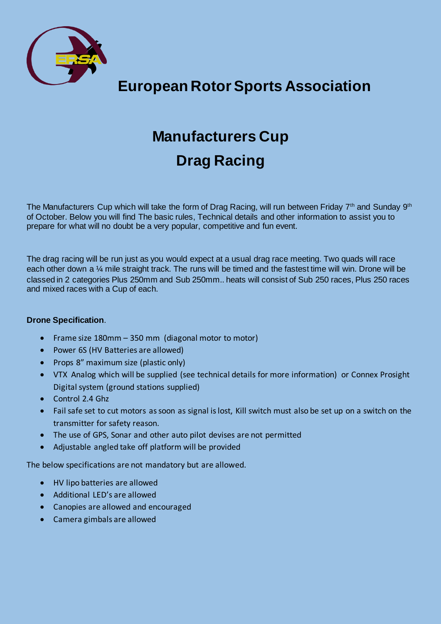

**European Rotor Sports Association**

# **Manufacturers Cup Drag Racing**

The Manufacturers Cup which will take the form of Drag Racing, will run between Friday 7<sup>th</sup> and Sunday 9<sup>th</sup> of October. Below you will find The basic rules, Technical details and other information to assist you to prepare for what will no doubt be a very popular, competitive and fun event.

The drag racing will be run just as you would expect at a usual drag race meeting. Two quads will race each other down a ¼ mile straight track. The runs will be timed and the fastest time will win. Drone will be classed in 2 categories Plus 250mm and Sub 250mm.. heats will consist of Sub 250 races, Plus 250 races and mixed races with a Cup of each.

#### **Drone Specification**.

- Frame size 180mm 350 mm (diagonal motor to motor)
- Power 6S (HV Batteries are allowed)
- Props 8" maximum size (plastic only)
- VTX Analog which will be supplied (see technical details for more information) or Connex Prosight Digital system (ground stations supplied)
- Control 2.4 Ghz
- Fail safe set to cut motors as soon as signal is lost, Kill switch must also be set up on a switch on the transmitter for safety reason.
- The use of GPS, Sonar and other auto pilot devises are not permitted
- Adjustable angled take off platform will be provided

The below specifications are not mandatory but are allowed.

- HV lipo batteries are allowed
- Additional LED's are allowed
- Canopies are allowed and encouraged
- Camera gimbals are allowed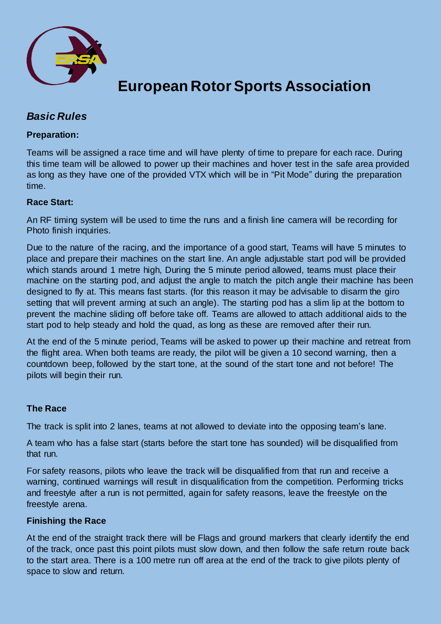

### **European Rotor Sports Association**

### *Basic Rules*

#### **Preparation:**

Teams will be assigned a race time and will have plenty of time to prepare for each race. During this time team will be allowed to power up their machines and hover test in the safe area provided as long as they have one of the provided VTX which will be in "Pit Mode" during the preparation time.

#### **Race Start:**

An RF timing system will be used to time the runs and a finish line camera will be recording for Photo finish inquiries.

Due to the nature of the racing, and the importance of a good start, Teams will have 5 minutes to place and prepare their machines on the start line. An angle adjustable start pod will be provided which stands around 1 metre high, During the 5 minute period allowed, teams must place their machine on the starting pod, and adjust the angle to match the pitch angle their machine has been designed to fly at. This means fast starts. (for this reason it may be advisable to disarm the giro setting that will prevent arming at such an angle). The starting pod has a slim lip at the bottom to prevent the machine sliding off before take off. Teams are allowed to attach additional aids to the start pod to help steady and hold the quad, as long as these are removed after their run.

At the end of the 5 minute period, Teams will be asked to power up their machine and retreat from the flight area. When both teams are ready, the pilot will be given a 10 second warning, then a countdown beep, followed by the start tone, at the sound of the start tone and not before! The pilots will begin their run.

#### **The Race**

The track is split into 2 lanes, teams at not allowed to deviate into the opposing team's lane.

A team who has a false start (starts before the start tone has sounded) will be disqualified from that run.

For safety reasons, pilots who leave the track will be disqualified from that run and receive a warning, continued warnings will result in disqualification from the competition. Performing tricks and freestyle after a run is not permitted, again for safety reasons, leave the freestyle on the freestyle arena.

#### **Finishing the Race**

At the end of the straight track there will be Flags and ground markers that clearly identify the end of the track, once past this point pilots must slow down, and then follow the safe return route back to the start area. There is a 100 metre run off area at the end of the track to give pilots plenty of space to slow and return.